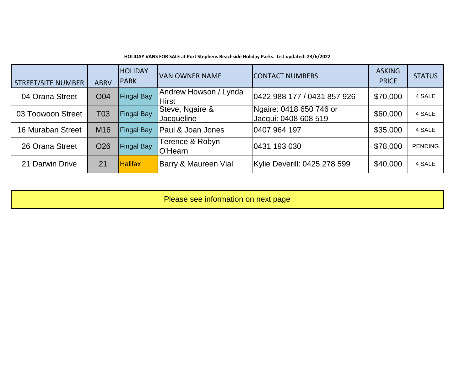| <b>STREET/SITE NUMBER</b> | <b>ABRV</b>     | <b>HOLIDAY</b><br><b>PARK</b> | <b>VAN OWNER NAME</b>                 | <b>CONTACT NUMBERS</b>                          | <b>ASKING</b><br><b>PRICE</b> | <b>STATUS</b>  |
|---------------------------|-----------------|-------------------------------|---------------------------------------|-------------------------------------------------|-------------------------------|----------------|
| 04 Orana Street           | O04             | <b>Fingal Bay</b>             | Andrew Howson / Lynda<br><b>Hirst</b> | 0422 988 177 / 0431 857 926                     | \$70,000                      | 4 SALE         |
| 03 Toowoon Street         | T <sub>03</sub> | <b>Fingal Bay</b>             | Steve, Ngaire &<br>Jacqueline         | Ngaire: 0418 650 746 or<br>Jacqui: 0408 608 519 | \$60,000                      | 4 SALE         |
| 16 Muraban Street         | M16             | <b>Fingal Bay</b>             | Paul & Joan Jones                     | 0407 964 197                                    | \$35,000                      | 4 SALE         |
| 26 Orana Street           | O <sub>26</sub> | <b>Fingal Bay</b>             | Terence & Robyn<br><b>IO'Hearn</b>    | 0431 193 030                                    | \$78,000                      | <b>PENDING</b> |
| 21 Darwin Drive           | 21              | <b>Halifax</b>                | Barry & Maureen Vial                  | Kylie Deverill: 0425 278 599                    | \$40,000                      | 4 SALE         |

**HOLIDAY VANS FOR SALE at Port Stephens Beachside Holiday Parks. List updated: 23/6/2022**

Please see information on next page